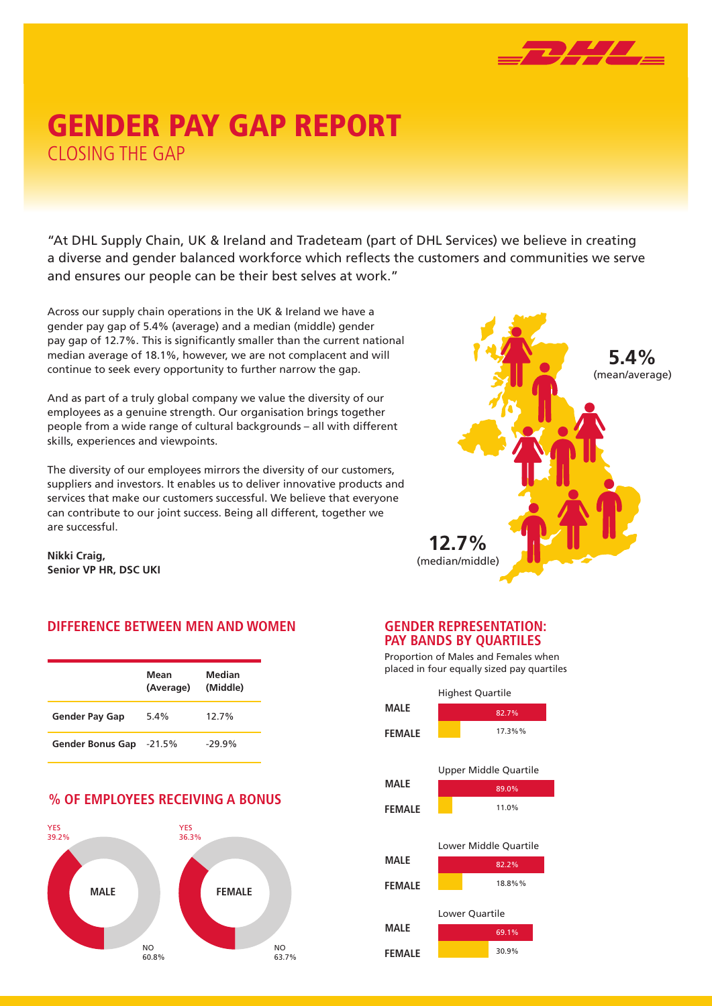

## GENDER PAY GAP REPORT CLOSING THE GAP

"At DHL Supply Chain, UK & Ireland and Tradeteam (part of DHL Services) we believe in creating a diverse and gender balanced workforce which reflects the customers and communities we serve and ensures our people can be their best selves at work."

Across our supply chain operations in the UK & Ireland we have a gender pay gap of 5.4% (average) and a median (middle) gender pay gap of 12.7%. This is significantly smaller than the current national median average of 18.1%, however, we are not complacent and will continue to seek every opportunity to further narrow the gap.

And as part of a truly global company we value the diversity of our employees as a genuine strength. Our organisation brings together people from a wide range of cultural backgrounds – all with different skills, experiences and viewpoints.

The diversity of our employees mirrors the diversity of our customers, suppliers and investors. It enables us to deliver innovative products and services that make our customers successful. We believe that everyone can contribute to our joint success. Being all different, together we are successful.

**Nikki Craig, Senior VP HR, DSC UKI**

#### **DIFFERENCE BETWEEN MEN AND WOMEN**

|                         | Mean<br>(Average) | Median<br>(Middle) |
|-------------------------|-------------------|--------------------|
| <b>Gender Pay Gap</b>   | $5.4\%$           | 12.7%              |
| <b>Gender Bonus Gap</b> | -21.5%            | $-29.9%$           |

#### **% OF EMPLOYEES RECEIVING A BONUS**





#### **GENDER REPRESENTATION: PAY BANDS BY QUARTILES**

Proportion of Males and Females when placed in four equally sized pay quartiles